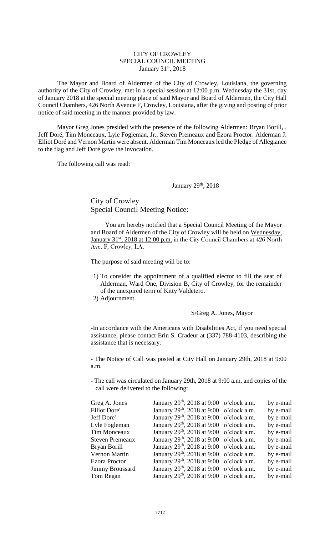## CITY OF CROWLEY SPECIAL COUNCIL MEETING January 31st, 2018

The Mayor and Board of Aldermen of the City of Crowley, Louisiana, the governing authority of the City of Crowley, met in a special session at 12:00 p.m. Wednesday the 31st, day of January 2018 at the special meeting place of said Mayor and Board of Aldermen, the City Hall Council Chambers, 426 North Avenue F, Crowley, Louisiana, after the giving and posting of prior notice of said meeting in the manner provided by law.

Mayor Greg Jones presided with the presence of the following Aldermen: Bryan Borill, , Jeff Doré, Tim Monceaux, Lyle Fogleman, Jr., Steven Premeaux and Ezora Proctor. Alderman J. Elliot Doré and Vernon Martin were absent. Alderman Tim Monceaux led the Pledge of Allegiance to the flag and Jeff Doré gave the invocation.

The following call was read:

January 29th, 2018

City of Crowley Special Council Meeting Notice:

You are hereby notified that a Special Council Meeting of the Mayor and Board of Aldermen of the City of Crowley will be held on Wednesday, January 31<sup>st</sup>, 2018 at 12:00 p.m. in the City Council Chambers at 426 North Ave. F, Crowley, LA.

The purpose of said meeting will be to:

- 1) To consider the appointment of a qualified elector to fill the seat of Alderman, Ward One, Division B, City of Crowley, for the remainder of the unexpired term of Kitty Valdetero.
- 2) Adjournment.

S/Greg A. Jones, Mayor

**-**In accordance with the Americans with Disabilities Act, if you need special assistance, please contact Erin S. Cradeur at (337) 788-4103, describing the assistance that is necessary.

- The Notice of Call was posted at City Hall on January 29th, 2018 at 9:00 a.m.

- The call was circulated on January 29th, 2018 at 9:00 a.m. and copies of the call were delivered to the following:

| Greg A. Jones          | January 29 <sup>th</sup> , 2018 at 9:00 o'clock a.m. | by e-mail |
|------------------------|------------------------------------------------------|-----------|
| <b>Elliot Dore'</b>    | January $29th$ , 2018 at 9:00 o'clock a.m.           | by e-mail |
| Jeff Dore'             | January 29 <sup>th</sup> , 2018 at 9:00 o'clock a.m. | by e-mail |
| Lyle Fogleman          | January 29 <sup>th</sup> , 2018 at 9:00 o'clock a.m. | by e-mail |
| <b>Tim Monceaux</b>    | January $29th$ , $2018$ at 9:00 o'clock a.m.         | by e-mail |
| <b>Steven Premeaux</b> | January $29th$ , 2018 at 9:00 o'clock a.m.           | by e-mail |
| Bryan Borill           | January $29th$ , 2018 at 9:00 o'clock a.m.           | by e-mail |
| Vernon Martin          | January 29 <sup>th</sup> , 2018 at 9:00 o'clock a.m. | by e-mail |
| <b>Ezora Proctor</b>   | January 29 <sup>th</sup> , 2018 at 9:00 o'clock a.m. | by e-mail |
| <b>Jimmy Broussard</b> | January 29 <sup>th</sup> , 2018 at 9:00 o'clock a.m. | by e-mail |
| Tom Regan              | January $29th$ , 2018 at 9:00 o'clock a.m.           | by e-mail |
|                        |                                                      |           |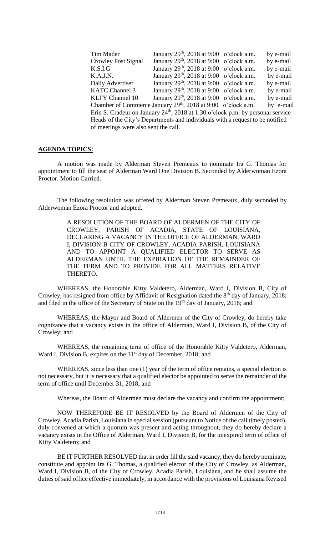| Tim Mader                                                                         | January $29th$ , 2018 at 9:00 o'clock a.m.                               |  | by e-mail |  |  |
|-----------------------------------------------------------------------------------|--------------------------------------------------------------------------|--|-----------|--|--|
| <b>Crowley Post Signal</b>                                                        | January $29th$ , $2018$ at $9:00$ o'clock a.m.                           |  | by e-mail |  |  |
| K.S.I.G                                                                           | January 29 <sup>th</sup> , 2018 at 9:00 o'clock a.m.                     |  | by e-mail |  |  |
| K.A.J.N.                                                                          | January $29th$ , 2018 at 9:00 o'clock a.m.                               |  | by e-mail |  |  |
| Daily Advertiser                                                                  | January $29th$ , 2018 at 9:00 o'clock a.m.                               |  | by e-mail |  |  |
| <b>KATC Channel 3</b>                                                             | January $29th$ , 2018 at 9:00 o'clock a.m.                               |  | by e-mail |  |  |
| <b>KLFY Channel 10</b>                                                            | January $29th$ , 2018 at 9:00 o'clock a.m.                               |  | by e-mail |  |  |
|                                                                                   | Chamber of Commerce January 29 <sup>th</sup> , 2018 at 9:00 o'clock a.m. |  | by e-mail |  |  |
| Erin S. Cradeur on January $24th$ , 2018 at 1:30 o'clock p.m. by personal service |                                                                          |  |           |  |  |
| Heads of the City's Departments and individuals with a request to be notified     |                                                                          |  |           |  |  |
| of meetings were also sent the call.                                              |                                                                          |  |           |  |  |

## **AGENDA TOPICS:**

A motion was made by Alderman Steven Premeaux to nominate Ira G. Thomas for appointment to fill the seat of Alderman Ward One Division B. Seconded by Alderwoman Ezora Proctor. Motion Carried.

The following resolution was offered by Alderman Steven Premeaux, duly seconded by Alderwoman Ezora Proctor and adopted.

> A RESOLUTION OF THE BOARD OF ALDERMEN OF THE CITY OF CROWLEY, PARISH OF ACADIA, STATE OF LOUISIANA, DECLARING A VACANCY IN THE OFFICE OF ALDERMAN, WARD I, DIVISION B CITY OF CROWLEY, ACADIA PARISH, LOUISIANA AND TO APPOINT A QUALIFIED ELECTOR TO SERVE AS ALDERMAN UNTIL THE EXPIRATION OF THE REMAINDER OF THE TERM AND TO PROVIDE FOR ALL MATTERS RELATIVE THERETO.

WHEREAS, the Honorable Kitty Valdetero, Alderman, Ward I, Division B, City of Crowley, has resigned from office by Affidavit of Resignation dated the 8<sup>th</sup> day of January, 2018; and filed in the office of the Secretary of State on the 19<sup>th</sup> day of January, 2018; and

WHEREAS, the Mayor and Board of Aldermen of the City of Crowley, do hereby take cognizance that a vacancy exists in the office of Alderman, Ward I, Division B, of the City of Crowley; and

WHEREAS, the remaining term of office of the Honorable Kitty Valdetero, Alderman, Ward I, Division B, expires on the 31<sup>st</sup> day of December, 2018; and

WHEREAS, since less than one (1) year of the term of office remains, a special election is not necessary, but it is necessary that a qualified elector be appointed to serve the remainder of the term of office until December 31, 2018; and

Whereas, the Board of Aldermen must declare the vacancy and confirm the appointment;

NOW THEREFORE BE IT RESOLVED by the Board of Aldermen of the City of Crowley, Acadia Parish, Louisiana in special session (pursuant to Notice of the call timely posted), duly convened at which a quorum was present and acting throughout, they do hereby declare a vacancy exists in the Office of Alderman, Ward I, Division B, for the unexpired term of office of Kitty Valdetero; and

BE IT FURTHER RESOLVED that in order fill the said vacancy, they do hereby nominate, constitute and appoint Ira G. Thomas, a qualified elector of the City of Crowley, as Alderman, Ward I, Division B, of the City of Crowley, Acadia Parish, Louisiana, and he shall assume the duties of said office effective immediately, in accordance with the provisions of Louisiana Revised